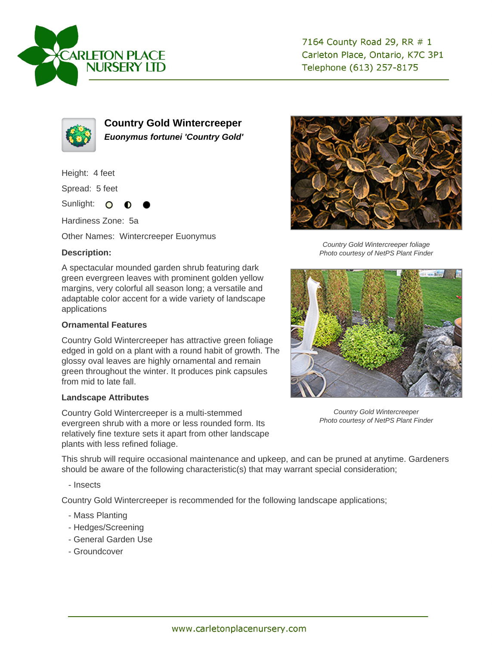



**Country Gold Wintercreeper Euonymus fortunei 'Country Gold'**

Height: 4 feet

Spread: 5 feet

Sunlight: O

Hardiness Zone: 5a

Other Names: Wintercreeper Euonymus

## **Description:**

A spectacular mounded garden shrub featuring dark green evergreen leaves with prominent golden yellow margins, very colorful all season long; a versatile and adaptable color accent for a wide variety of landscape applications

## **Ornamental Features**

Country Gold Wintercreeper has attractive green foliage edged in gold on a plant with a round habit of growth. The glossy oval leaves are highly ornamental and remain green throughout the winter. It produces pink capsules from mid to late fall.

## **Landscape Attributes**

Country Gold Wintercreeper is a multi-stemmed evergreen shrub with a more or less rounded form. Its relatively fine texture sets it apart from other landscape plants with less refined foliage.



Country Gold Wintercreeper foliage Photo courtesy of NetPS Plant Finder



Country Gold Wintercreeper Photo courtesy of NetPS Plant Finder

This shrub will require occasional maintenance and upkeep, and can be pruned at anytime. Gardeners should be aware of the following characteristic(s) that may warrant special consideration;

- Insects

Country Gold Wintercreeper is recommended for the following landscape applications;

- Mass Planting
- Hedges/Screening
- General Garden Use
- Groundcover